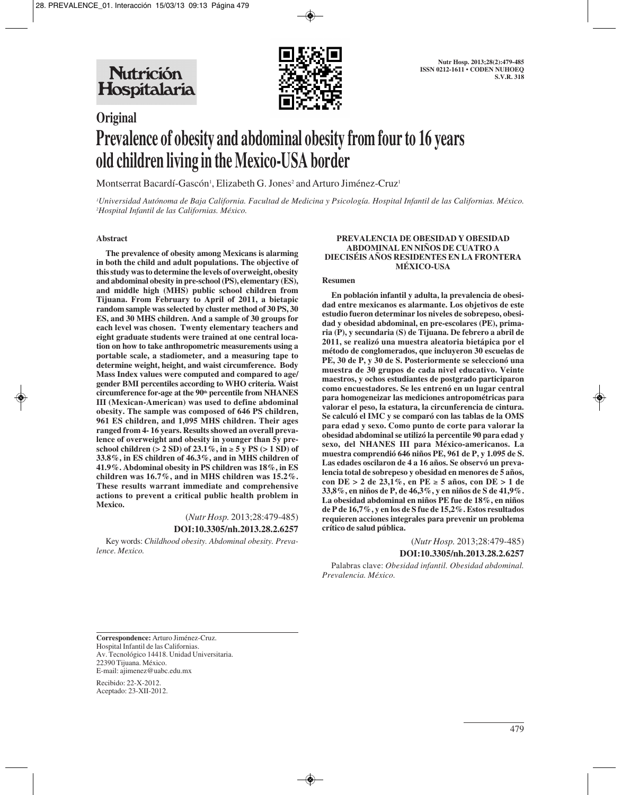

# **Original Prevalence of obesity and abdominal obesity from four to 16 years old children living in the Mexico-USA border**

Montserrat Bacardí-Gascón', Elizabeth G. Jones<sup>2</sup> and Arturo Jiménez-Cruz'

*1 Universidad Autónoma de Baja California. Facultad de Medicina y Psicología. Hospital Infantil de las Californias. México. 2 Hospital Infantil de las Californias. México.*

### **Abstract**

**The prevalence of obesity among Mexicans is alarming in both the child and adult populations. The objective of this study was to determine the levels of overweight, obesity and abdominal obesity in pre-school (PS), elementary (ES), and middle high (MHS) public school children from Tijuana. From February to April of 2011, a bietapic random sample was selected by cluster method of 30 PS, 30 ES, and 30 MHS children. And a sample of 30 groups for each level was chosen. Twenty elementary teachers and eight graduate students were trained at one central location on how to take anthropometric measurements using a portable scale, a stadiometer, and a measuring tape to determine weight, height, and waist circumference. Body Mass Index values were computed and compared to age/ gender BMI percentiles according to WHO criteria. Waist circumference for-age at the 90th percentile from NHANES III (Mexican-American) was used to define abdominal obesity. The sample was composed of 646 PS children, 961 ES children, and 1,095 MHS children. Their ages ranged from 4- 16 years. Results showed an overall prevalence of overweight and obesity in younger than 5y pre**school children ( $> 2$  SD) of 23.1%, in  $\geq 5$  y PS ( $> 1$  SD) of **33.8%, in ES children of 46.3%, and in MHS children of 41.9%. Abdominal obesity in PS children was 18%, in ES children was 16.7%, and in MHS children was 15.2%. These results warrant immediate and comprehensive actions to prevent a critical public health problem in Mexico.**

> (*Nutr Hosp.* 2013;28:479-485) **DOI:10.3305/nh.2013.28.2.6257**

Key words: *Childhood obesity. Abdominal obesity. Prevalence. Mexico.*

### **PREVALENCIA DE OBESIDAD Y OBESIDAD ABDOMINAL EN NIÑOS DE CUATRO A DIECISÉIS AÑOS RESIDENTES EN LA FRONTERA MÉXICO-USA**

### **Resumen**

**En población infantil y adulta, la prevalencia de obesidad entre mexicanos es alarmante. Los objetivos de este estudio fueron determinar los niveles de sobrepeso, obesidad y obesidad abdominal, en pre-escolares (PE), primaria (P), y secundaria (S) de Tijuana. De febrero a abril de 2011, se realizó una muestra aleatoria bietápica por el método de conglomerados, que incluyeron 30 escuelas de PE, 30 de P, y 30 de S. Posteriormente se seleccionó una muestra de 30 grupos de cada nivel educativo. Veinte maestros, y ochos estudiantes de postgrado participaron como encuestadores. Se les entrenó en un lugar central para homogeneizar las mediciones antropométricas para valorar el peso, la estatura, la circunferencia de cintura. Se calculó el IMC y se comparó con las tablas de la OMS para edad y sexo. Como punto de corte para valorar la obesidad abdominal se utilizó la percentile 90 para edad y sexo, del NHANES III para México-americanos. La muestra comprendió 646 niños PE, 961 de P, y 1.095 de S. Las edades oscilaron de 4 a 16 años. Se observó un prevalencia total de sobrepeso y obesidad en menores de 5 años, con DE > 2 de 23,1%, en PE** ≥ **5 años, con DE > 1 de 33,8%, en niños de P, de 46,3%, y en niños de S de 41,9%. La obesidad abdominal en niños PE fue de 18%, en niños de P de 16,7%, y en los de S fue de 15,2%. Estos resultados requieren acciones integrales para prevenir un problema crítico de salud pública.**

> (*Nutr Hosp.* 2013;28:479-485) **DOI:10.3305/nh.2013.28.2.6257**

Palabras clave: *Obesidad infantil. Obesidad abdominal. Prevalencia. México.*

**Correspondence:** Arturo Jiménez-Cruz. Hospital Infantil de las Californias. Av. Tecnológico 14418. Unidad Universitaria. 22390 Tijuana. México. E-mail: ajimenez@uabc.edu.mx

Recibido: 22-X-2012. Aceptado: 23-XII-2012.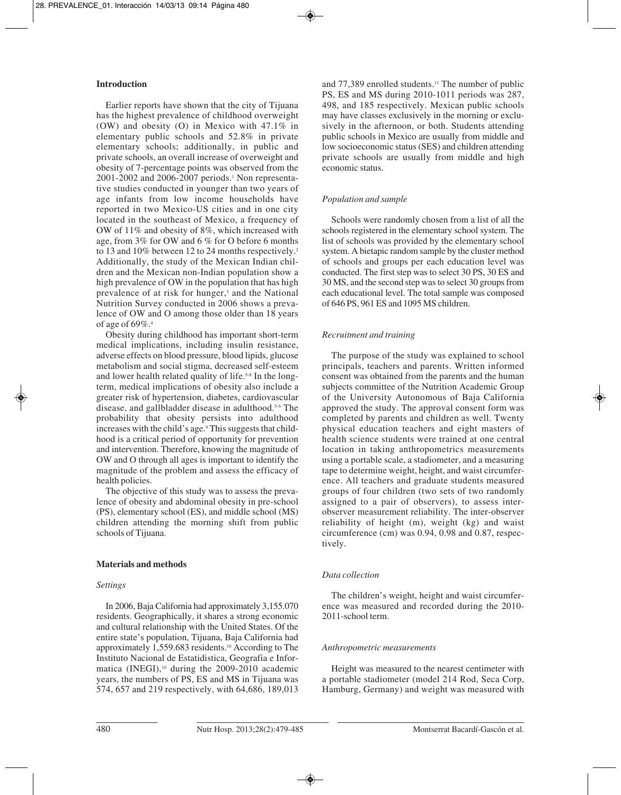# **Introduction**

Earlier reports have shown that the city of Tijuana has the highest prevalence of childhood overweight (OW) and obesity (O) in Mexico with 47.1% in elementary public schools and 52.8% in private elementary schools; additionally, in public and private schools, an overall increase of overweight and obesity of 7-percentage points was observed from the 2001-2002 and 2006-2007 periods.<sup>1</sup> Non representative studies conducted in younger than two years of age infants from low income households have reported in two Mexico-US cities and in one city located in the southeast of Mexico, a frequency of OW of 11% and obesity of 8%, which increased with age, from 3% for OW and 6 % for O before 6 months to 13 and 10% between 12 to 24 months respectively.<sup>2</sup> Additionally, the study of the Mexican Indian children and the Mexican non-Indian population show a high prevalence of OW in the population that has high prevalence of at risk for hunger,3 and the National Nutrition Survey conducted in 2006 shows a prevalence of OW and O among those older than 18 years of age of 69%.4

Obesity during childhood has important short-term medical implications, including insulin resistance, adverse effects on blood pressure, blood lipids, glucose metabolism and social stigma, decreased self-esteem and lower health related quality of life.<sup>5-8</sup> In the longterm, medical implications of obesity also include a greater risk of hypertension, diabetes, cardiovascular disease, and gallbladder disease in adulthood.5-6 The probability that obesity persists into adulthood increases with the child's age.9 This suggests that childhood is a critical period of opportunity for prevention and intervention. Therefore, knowing the magnitude of OW and O through all ages is important to identify the magnitude of the problem and assess the efficacy of health policies.

The objective of this study was to assess the prevalence of obesity and abdominal obesity in pre-school (PS), elementary school (ES), and middle school (MS) children attending the morning shift from public schools of Tijuana.

# **Materials and methods**

# *Settings*

In 2006, Baja California had approximately 3,155.070 residents. Geographically, it shares a strong economic and cultural relationship with the United States. Of the entire state's population, Tijuana, Baja California had approximately 1,559.683 residents.10 According to The Instituto Nacional de Estatidistica, Geografia e Informatica (INEGI),<sup>10</sup> during the 2009-2010 academic years, the numbers of PS, ES and MS in Tijuana was 574, 657 and 219 respectively, with 64,686, 189,013

and 77,389 enrolled students.11 The number of public PS, ES and MS during 2010-1011 periods was 287, 498, and 185 respectively. Mexican public schools may have classes exclusively in the morning or exclusively in the afternoon, or both. Students attending public schools in Mexico are usually from middle and low socioeconomic status (SES) and children attending private schools are usually from middle and high economic status.

# *Population and sample*

Schools were randomly chosen from a list of all the schools registered in the elementary school system. The list of schools was provided by the elementary school system. A bietapic random sample by the cluster method of schools and groups per each education level was conducted. The first step was to select 30 PS, 30 ES and 30 MS, and the second step was to select 30 groups from each educational level. The total sample was composed of 646 PS, 961 ES and 1095 MS children.

# *Recruitment and training*

The purpose of the study was explained to school principals, teachers and parents. Written informed consent was obtained from the parents and the human subjects committee of the Nutrition Academic Group of the University Autonomous of Baja California approved the study. The approval consent form was completed by parents and children as well. Twenty physical education teachers and eight masters of health science students were trained at one central location in taking anthropometrics measurements using a portable scale, a stadiometer, and a measuring tape to determine weight, height, and waist circumference. All teachers and graduate students measured groups of four children (two sets of two randomly assigned to a pair of observers), to assess interobserver measurement reliability. The inter-observer reliability of height (m), weight (kg) and waist circumference (cm) was 0.94, 0.98 and 0.87, respectively.

# *Data collection*

The children's weight, height and waist circumference was measured and recorded during the 2010- 2011-school term.

# *Anthropometric measurements*

Height was measured to the nearest centimeter with a portable stadiometer (model 214 Rod, Seca Corp, Hamburg, Germany) and weight was measured with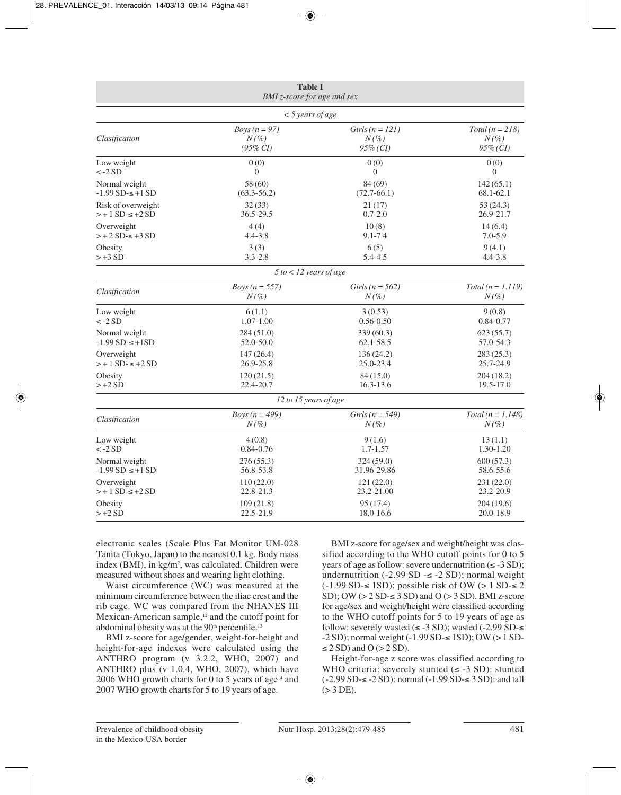| <b>Table I</b><br>BMI z-score for age and sex                       |                                                      |                                                   |                        |  |  |
|---------------------------------------------------------------------|------------------------------------------------------|---------------------------------------------------|------------------------|--|--|
|                                                                     | $<$ 5 years of age                                   |                                                   |                        |  |  |
| Clasification                                                       | Boys $(n=97)$                                        | $Girls (n = 121)$                                 | $Total (n = 218)$      |  |  |
|                                                                     | $N(\%)$                                              | $N(\%)$                                           | $N(\%)$                |  |  |
|                                                                     | $(95\% CI)$                                          | $95\%$ (CI)                                       | $95\%$ (CI)            |  |  |
| Low weight                                                          | 0(0)                                                 | 0(0)                                              | 0(0)                   |  |  |
| $\langle -2SD$                                                      | $\mathbf{0}$                                         | $\theta$                                          | $\theta$               |  |  |
| Normal weight                                                       | 58 (60)                                              | 84 (69)                                           | 142(65.1)              |  |  |
| $-1.99$ SD $\leq +1$ SD                                             | $(63.3 - 56.2)$                                      | $(72.7-66.1)$                                     | 68.1-62.1              |  |  |
| Risk of overweight                                                  | 32(33)                                               | 21 (17)                                           | 53(24.3)               |  |  |
| $> + 1$ SD- $\le$ +2 SD                                             | 36.5-29.5                                            | $0.7 - 2.0$                                       | 26.9-21.7              |  |  |
| Overweight                                                          | 4(4)                                                 | 10(8)                                             | 14(6.4)                |  |  |
| $>+2 SD-5+3 SD$                                                     | $4.4 - 3.8$                                          | $9.1 - 7.4$                                       | $7.0 - 5.9$            |  |  |
| Obesity                                                             | 3(3)                                                 | 6(5)                                              | 9(4.1)                 |  |  |
| $> +3SD$                                                            | $3.3 - 2.8$                                          | 5.4-4.5                                           | $4.4 - 3.8$            |  |  |
|                                                                     | $5 to < 12$ years of age                             |                                                   |                        |  |  |
| Clasification                                                       | <i>Boys</i> $(n = 557)$                              | Girls ( $n = 562$ )                               | $Total (n = 1.119)$    |  |  |
|                                                                     | $N(\%)$                                              | $N(\%)$                                           | $N(\%)$                |  |  |
| Low weight                                                          | 6(1.1)                                               | 3(0.53)                                           | 9(0.8)                 |  |  |
| $\langle -2SD$                                                      | $1.07 - 1.00$                                        | $0.56 - 0.50$                                     | $0.84 - 0.77$          |  |  |
| Normal weight<br>284 (51.0)<br>$-1.99$ SD $\leq +1$ SD<br>52.0-50.0 |                                                      | 339(60.3)<br>62.1-58.5                            | 623(55.7)<br>57.0-54.3 |  |  |
| Overweight                                                          | 147(26.4)                                            | 136(24.2)                                         | 283(25.3)              |  |  |
| $> + 1$ SD- $\le +2$ SD                                             | 26.9-25.8                                            | 25.0-23.4                                         | 25.7-24.9              |  |  |
| Obesity<br>$> +2SD$                                                 | 120(21.5)<br>84 (15.0)<br>22.4-20.7<br>$16.3 - 13.6$ |                                                   | 204(18.2)<br>19.5-17.0 |  |  |
|                                                                     | 12 to 15 years of age                                |                                                   |                        |  |  |
| Clasification                                                       | Boys ( $n = 499$ )                                   | Girls ( $n = 549$ )                               | $Total (n = 1.148)$    |  |  |
|                                                                     | $N(\%)$                                              | $N(\%)$                                           | $N(\%)$                |  |  |
| Low weight                                                          | 4(0.8)                                               | 9(1.6)                                            | 13(1.1)                |  |  |
| $\langle -2SD$                                                      | $0.84 - 0.76$                                        | $1.7 - 1.57$                                      | 1.30-1.20              |  |  |
| Normal weight<br>276(55.3)<br>$-1.99$ SD $-5 + 1$ SD<br>56.8-53.8   |                                                      | 324(59.0)<br>31.96-29.86                          | 600(57.3)<br>58.6-55.6 |  |  |
| Overweight<br>$> + 1$ SD- $\le$ +2 SD                               | 110(22.0)<br>22.8-21.3                               | 121(22.0)<br>231(22.0)<br>23.2-21.00<br>23.2-20.9 |                        |  |  |
| Obesity                                                             | 109(21.8)                                            | 95(17.4)                                          | 204(19.6)              |  |  |
| $>+2SD$                                                             | 22.5-21.9                                            | 18.0-16.6                                         | 20.0-18.9              |  |  |

electronic scales (Scale Plus Fat Monitor UM-028 Tanita (Tokyo, Japan) to the nearest 0.1 kg. Body mass index (BMI), in kg/m<sup>2</sup>, was calculated. Children were measured without shoes and wearing light clothing.

Waist circumference (WC) was measured at the minimum circumference between the iliac crest and the rib cage. WC was compared from the NHANES III Mexican-American sample,<sup>12</sup> and the cutoff point for abdominal obesity was at the 90<sup>th</sup> percentile.<sup>13</sup>

BMI z-score for age/gender, weight-for-height and height-for-age indexes were calculated using the ANTHRO program (v 3.2.2, WHO, 2007) and ANTHRO plus (v 1.0.4, WHO, 2007), which have 2006 WHO growth charts for 0 to 5 years of age<sup>14</sup> and 2007 WHO growth charts for 5 to 19 years of age.

BMI z-score for age/sex and weight/height was classified according to the WHO cutoff points for 0 to 5 years of age as follow: severe undernutrition  $(\leq -3 SD)$ ; undernutrition (-2.99 SD  $\le$  -2 SD); normal weight (-1.99 SD-≤ 1SD); possible risk of OW (> 1 SD-≤ 2 SD); OW  $(> 2 SD \le 3 SD)$  and O  $(> 3 SD)$ . BMI z-score for age/sex and weight/height were classified according to the WHO cutoff points for 5 to 19 years of age as follow: severely wasted  $(\leq -3$  SD); wasted  $(-2.99$  SD- $\leq$ -2 SD); normal weight (-1.99 SD-≤ 1SD); OW (> 1 SD-  $\leq$  2 SD) and O (> 2 SD).

Height-for-age z score was classified according to WHO criteria: severely stunted  $(\leq -3$  SD): stunted (-2.99 SD-≤ -2 SD): normal (-1.99 SD-≤ 3 SD): and tall  $(>3$  DE).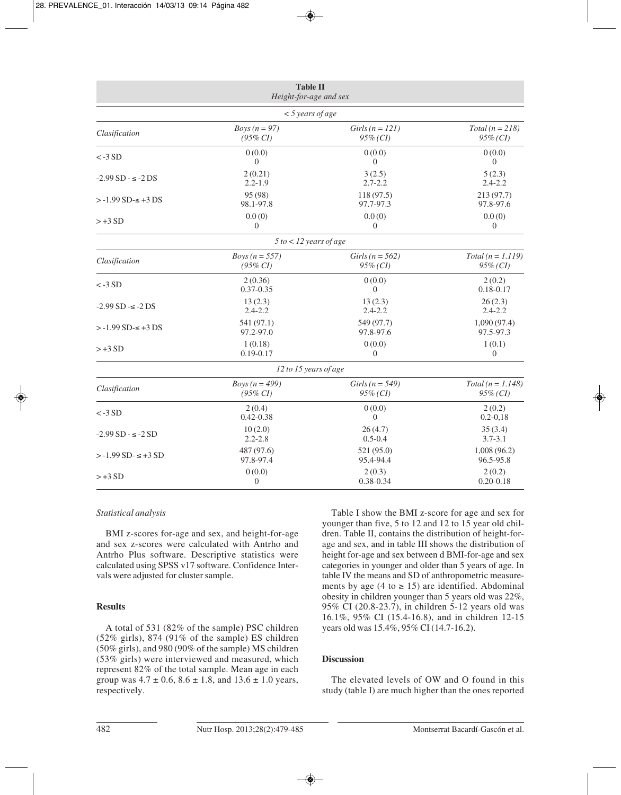| <b>Table II</b><br>Height-for-age and sex |                          |                     |                     |  |
|-------------------------------------------|--------------------------|---------------------|---------------------|--|
|                                           | $<$ 5 years of age       |                     |                     |  |
| Clasification                             | Boys ( $n = 97$ )        | Girls ( $n = 121$ ) | $Total (n = 218)$   |  |
|                                           | $(95\% CI)$              | $95\%$ (CI)         | 95% (CI)            |  |
| $< -3 SD$                                 | 0(0.0)                   | 0(0.0)              | 0(0.0)              |  |
|                                           | $\Omega$                 | $\Omega$            | $\overline{0}$      |  |
| $-2.99$ SD $ \le$ $-2$ DS                 | 2(0.21)                  | 3(2.5)              | 5(2.3)              |  |
|                                           | $2.2 - 1.9$              | $2.7 - 2.2$         | $2.4 - 2.2$         |  |
| $> -1.99$ SD- $\le +3$ DS                 | 95 (98)                  | 118 (97.5)          | 213(97.7)           |  |
|                                           | 98.1-97.8                | 97.7-97.3           | 97.8-97.6           |  |
| $> +3SD$                                  | 0.0(0)                   | 0.0(0)              | 0.0(0)              |  |
|                                           | $\theta$                 | $\Omega$            | $\theta$            |  |
|                                           | $5 to < 12$ years of age |                     |                     |  |
| Clasification                             | Boys ( $n = 557$ )       | Girls ( $n = 562$ ) | $Total (n = 1.119)$ |  |
|                                           | $(95\% CI)$              | $95\%$ (CI)         | 95% (CI)            |  |
| $< -3 SD$                                 | 2(0.36)                  | 0(0.0)              | 2(0.2)              |  |
|                                           | $0.37 - 0.35$            | $\theta$            | $0.18 - 0.17$       |  |
| $-2.99$ SD $ \le$ $-2$ DS                 | 13(2.3)                  | 13(2.3)             | 26(2.3)             |  |
|                                           | $2.4 - 2.2$              | $2.4 - 2.2$         | $2.4 - 2.2$         |  |
| $> -1.99$ SD- $\le +3$ DS                 | 541 (97.1)               | 549 (97.7)          | 1,090(97.4)         |  |
|                                           | 97.2-97.0                | 97.8-97.6           | 97.5-97.3           |  |
| $> +3SD$                                  | 1(0.18)                  | 0(0.0)              | 1(0.1)              |  |
|                                           | $0.19 - 0.17$            | $\theta$            | $\theta$            |  |
|                                           | 12 to 15 years of age    |                     |                     |  |
| Clasification                             | Boys ( $n = 499$ )       | Girls ( $n = 549$ ) | $Total (n = 1.148)$ |  |
|                                           | $(95\% CI)$              | $95\%$ (CI)         | $95\%$ (CI)         |  |
| $< -3 SD$                                 | 2(0.4)                   | 0(0.0)              | 2(0.2)              |  |
|                                           | $0.42 - 0.38$            | $\theta$            | $0.2 - 0.18$        |  |
| $-2.99$ SD $ \le$ $-2$ SD                 | 10(2.0)                  | 26(4.7)             | 35(3.4)             |  |
|                                           | $2.2 - 2.8$              | $0.5 - 0.4$         | $3.7 - 3.1$         |  |
| $> -1.99$ SD $- \le +3$ SD                | 487 (97.6)               | 521 (95.0)          | 1,008(96.2)         |  |
|                                           | 97.8-97.4                | 95.4-94.4           | 96.5-95.8           |  |
| $> +3SD$                                  | 0(0.0)                   | 2(0.3)              | 2(0.2)              |  |
|                                           | $\boldsymbol{0}$         | 0.38-0.34           | $0.20 - 0.18$       |  |

# *Statistical analysis*

BMI z-scores for-age and sex, and height-for-age and sex z-scores were calculated with Antrho and Antrho Plus software. Descriptive statistics were calculated using SPSS v17 software. Confidence Intervals were adjusted for cluster sample.

# **Results**

A total of 531 (82% of the sample) PSC children (52% girls), 874 (91% of the sample) ES children (50% girls), and 980 (90% of the sample) MS children (53% girls) were interviewed and measured, which represent 82% of the total sample. Mean age in each group was  $4.7 \pm 0.6$ ,  $8.6 \pm 1.8$ , and  $13.6 \pm 1.0$  years, respectively.

Table I show the BMI z-score for age and sex for younger than five, 5 to 12 and 12 to 15 year old children. Table II, contains the distribution of height-forage and sex, and in table III shows the distribution of height for-age and sex between d BMI-for-age and sex categories in younger and older than 5 years of age. In table IV the means and SD of anthropometric measurements by age (4 to  $\ge$  15) are identified. Abdominal obesity in children younger than 5 years old was 22%, 95% CI (20.8-23.7), in children 5-12 years old was 16.1%, 95% CI (15.4-16.8), and in children 12-15 years old was 15.4%, 95% CI (14.7-16.2).

## **Discussion**

The elevated levels of OW and O found in this study (table I) are much higher than the ones reported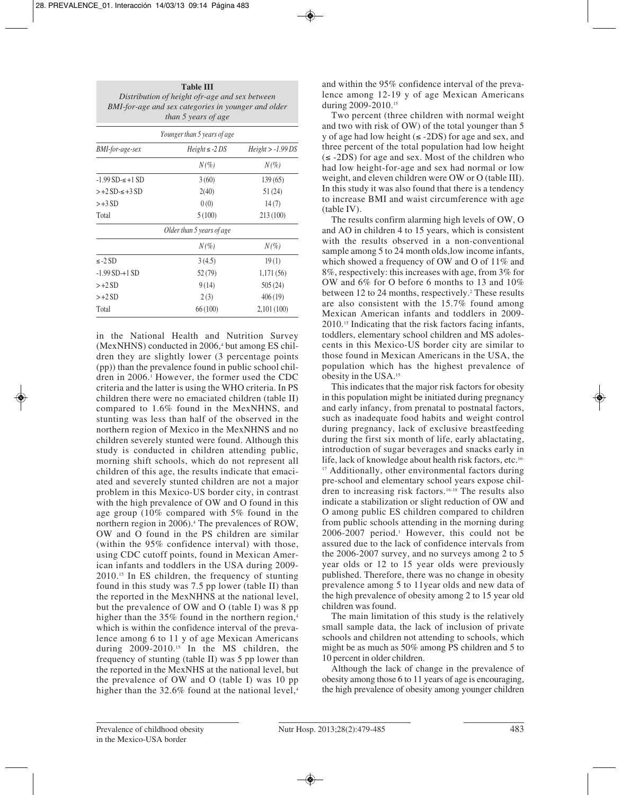|                         | <b>Table III</b><br>Distribution of height ofr-age and sex between<br>BMI-for-age and sex categories in younger and older<br>than 5 years of age |                    |
|-------------------------|--------------------------------------------------------------------------------------------------------------------------------------------------|--------------------|
|                         | Younger than 5 years of age                                                                                                                      |                    |
| <b>BMI-for-age-sex</b>  | $Height \le -2DS$                                                                                                                                | $Height > -1.99DS$ |
|                         | $N(\%)$                                                                                                                                          | $N(\%)$            |
| $-1.99$ SD- $\le +1$ SD | 3(60)                                                                                                                                            | 139(65)            |
| $>+2SD-5+3SD$           | 2(40)                                                                                                                                            | 51 (24)            |
| $> +3SD$                | 0(0)                                                                                                                                             | 14(7)              |
| Total                   | 5(100)                                                                                                                                           | 213 (100)          |
|                         | Older than 5 years of age                                                                                                                        |                    |
|                         | $N(\%)$                                                                                                                                          | $N(\%)$            |
| $\leq$ -2 SD            | 3(4.5)                                                                                                                                           | 19(1)              |
| $-1.99$ SD $+1$ SD      | 52 (79)                                                                                                                                          | 1,171 (56)         |
| $>+2SD$                 | 9(14)                                                                                                                                            | 505(24)            |
| $>+2SD$                 | 2(3)                                                                                                                                             | 406(19)            |
| Total                   | 66(100)                                                                                                                                          | 2,101(100)         |

in the National Health and Nutrition Survey  $(MexNHNS)$  conducted in 2006, $4$  but among ES children they are slightly lower (3 percentage points (pp)) than the prevalence found in public school children in 2006.1 However, the former used the CDC criteria and the latter is using the WHO criteria. In PS children there were no emaciated children (table II) compared to 1.6% found in the MexNHNS, and stunting was less than half of the observed in the northern region of Mexico in the MexNHNS and no children severely stunted were found. Although this study is conducted in children attending public, morning shift schools, which do not represent all children of this age, the results indicate that emaciated and severely stunted children are not a major problem in this Mexico-US border city, in contrast with the high prevalence of OW and O found in this age group (10% compared with 5% found in the northern region in 2006).<sup>4</sup> The prevalences of ROW, OW and O found in the PS children are similar (within the 95% confidence interval) with those, using CDC cutoff points, found in Mexican American infants and toddlers in the USA during 2009- 2010.15 In ES children, the frequency of stunting found in this study was 7.5 pp lower (table II) than the reported in the MexNHNS at the national level, but the prevalence of OW and O (table I) was 8 pp higher than the 35% found in the northern region,<sup>4</sup> which is within the confidence interval of the prevalence among 6 to 11 y of age Mexican Americans during 2009-2010.15 In the MS children, the frequency of stunting (table II) was 5 pp lower than the reported in the MexNHS at the national level, but the prevalence of OW and O (table I) was 10 pp higher than the  $32.6\%$  found at the national level,<sup>4</sup>

and within the 95% confidence interval of the prevalence among 12-19 y of age Mexican Americans during 2009-2010.<sup>15</sup>

Two percent (three children with normal weight and two with risk of OW) of the total younger than 5 y of age had low height  $(\leq -2DS)$  for age and sex, and three percent of the total population had low height  $(\leq -2DS)$  for age and sex. Most of the children who had low height-for-age and sex had normal or low weight, and eleven children were OW or O (table III). In this study it was also found that there is a tendency to increase BMI and waist circumference with age (table IV).

The results confirm alarming high levels of OW, O and AO in children 4 to 15 years, which is consistent with the results observed in a non-conventional sample among 5 to 24 month olds, low income infants, which showed a frequency of OW and O of 11% and 8%, respectively: this increases with age, from 3% for OW and 6% for O before 6 months to 13 and 10% between 12 to 24 months, respectively.<sup>2</sup> These results are also consistent with the 15.7% found among Mexican American infants and toddlers in 2009- 2010.15 Indicating that the risk factors facing infants, toddlers, elementary school children and MS adolescents in this Mexico-US border city are similar to those found in Mexican Americans in the USA, the population which has the highest prevalence of obesity in the USA.15

This indicates that the major risk factors for obesity in this population might be initiated during pregnancy and early infancy, from prenatal to postnatal factors, such as inadequate food habits and weight control during pregnancy, lack of exclusive breastfeeding during the first six month of life, early ablactating, introduction of sugar beverages and snacks early in life, lack of knowledge about health risk factors, etc.<sup>16-</sup> <sup>17</sup> Additionally, other environmental factors during pre-school and elementary school years expose children to increasing risk factors.16-18 The results also indicate a stabilization or slight reduction of OW and O among public ES children compared to children from public schools attending in the morning during  $2006-2007$  period.<sup>1</sup> However, this could not be assured due to the lack of confidence intervals from the 2006-2007 survey, and no surveys among 2 to 5 year olds or 12 to 15 year olds were previously published. Therefore, there was no change in obesity prevalence among 5 to 11year olds and new data of the high prevalence of obesity among 2 to 15 year old children was found.

The main limitation of this study is the relatively small sample data, the lack of inclusion of private schools and children not attending to schools, which might be as much as 50% among PS children and 5 to 10 percent in older children.

Although the lack of change in the prevalence of obesity among those 6 to 11 years of age is encouraging, the high prevalence of obesity among younger children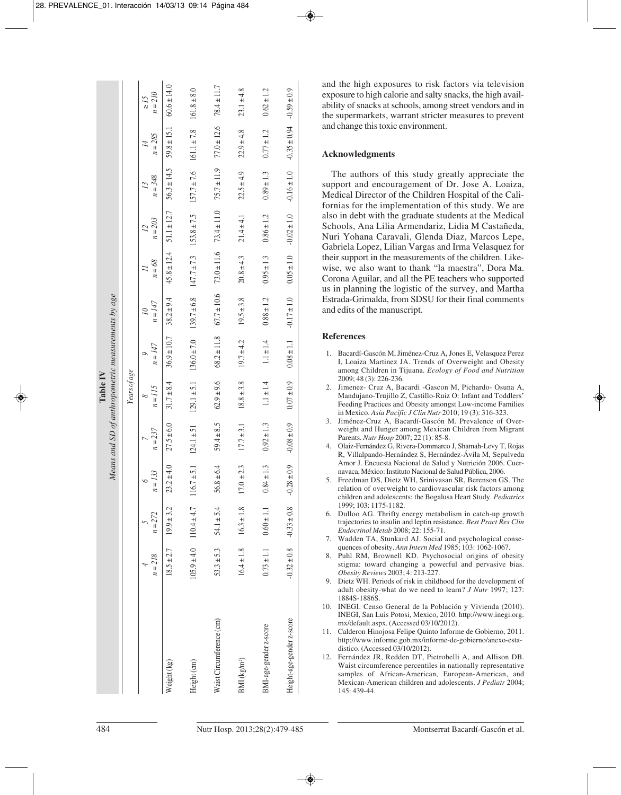|                                                                |              | $n = 210$<br>$\leq l \leq$                   | $60.6 \pm 14.0$ | $161.8 \pm 8.0$        | $78.4 \pm 11.7$          | $23.1 \pm 4.8$          | $0.62 \pm 1.2$         | $-0.59 \pm 0.9$               | and the high exposures to risk factors via television<br>exposure to high calorie and salty snacks, the high avail-<br>ability of snacks at schools, among street vendors and in<br>the supermarkets, warrant stricter measures to prevent                                                                                                                                                                                                                                                                                                                                                                            |
|----------------------------------------------------------------|--------------|----------------------------------------------|-----------------|------------------------|--------------------------|-------------------------|------------------------|-------------------------------|-----------------------------------------------------------------------------------------------------------------------------------------------------------------------------------------------------------------------------------------------------------------------------------------------------------------------------------------------------------------------------------------------------------------------------------------------------------------------------------------------------------------------------------------------------------------------------------------------------------------------|
| Means and SD of anthropometric measurements by age<br>Table IV | Years of age | $= 285$<br>$\overline{14}$<br>$\overline{a}$ | $59.8 \pm 15.1$ | $161.1 \pm 7.8$        | $77.0 \pm 12.6$          | $22.9 \pm 4.8$          | $0.77 \pm 1.2$         | $-0.35 \pm 0.94$              | and change this toxic environment.<br><b>Acknowledgments</b>                                                                                                                                                                                                                                                                                                                                                                                                                                                                                                                                                          |
|                                                                |              | $n = 348$<br>$\overline{13}$                 | $56.3 \pm 14.5$ | $157.7 \pm 7.6$        | $75.7 \pm 11.9$          | $22.5 \pm 4.9$          | $0.89 \pm 1.3$         | $-0.16 \pm 1.0$               | The authors of this study greatly appreciate the<br>support and encouragement of Dr. Jose A. Loaiza,<br>Medical Director of the Children Hospital of the Cali-<br>fornias for the implementation of this study. We are                                                                                                                                                                                                                                                                                                                                                                                                |
|                                                                |              | $n = 203$<br>$\overline{L}$                  | $51.1 \pm 12.7$ | $153.8 \pm 7.5$        | $73.4 \pm 11.0$          | $21.4 \pm 4.1$          | $0.86 \pm 1.2$         | $-0.02 \pm 1.0$               | also in debt with the graduate students at the Medical<br>Schools, Ana Lilia Armendariz, Lidia M Castañeda,<br>Nuri Yohana Caravali, Glenda Diaz, Marcos Lepe,<br>Gabriela Lopez, Lilian Vargas and Irma Velasquez for                                                                                                                                                                                                                                                                                                                                                                                                |
|                                                                |              | $n = 68$<br>$\overline{1}$                   | $45.8 \pm 12.4$ | $147.7 \pm 7.3$        | $73.0 \pm 11.6$          | $20.8 \pm 4.3$          | $0.95 \pm 1.3$         | $0.05 \pm 1.0$                | their support in the measurements of the children. Like-<br>wise, we also want to thank "la maestra", Dora Ma.<br>Corona Aguilar, and all the PE teachers who supported<br>us in planning the logistic of the survey, and Martha                                                                                                                                                                                                                                                                                                                                                                                      |
|                                                                |              | $n = 147$<br>$\overline{\mathcal{L}}$        | $38.2 \pm 9.4$  | $139.7 \pm 6.8$        | $67.7 \pm 10.6$          | $19.5 \pm 3.8$          | $0.88 \pm 1.2$         | $-0.17 \pm 1.0$               | Estrada-Grimalda, from SDSU for their final comments<br>and edits of the manuscript.                                                                                                                                                                                                                                                                                                                                                                                                                                                                                                                                  |
|                                                                |              | $n = 147$<br>$\circ$                         | $36.9 \pm 10.7$ | $136.0 \pm 7.0$        | $68.2 \pm 11.8$          | $19.7 \pm 4.2$          | $1.1 \pm 1.4$          | $0.08 \pm 1.1$                | <b>References</b><br>1. Bacardí-Gascón M, Jiménez-Cruz A, Jones E, Velasquez Perez<br>I, Loaiza Martinez JA. Trends of Overweight and Obesity<br>among Children in Tijuana. Ecology of Food and Nutrition                                                                                                                                                                                                                                                                                                                                                                                                             |
|                                                                |              | $n = 115$<br>$^{\circ}$                      | $31.7 \pm 8.4$  | $129.1 \pm 5.1$        | $62.9 \pm 9.6$           | $18.8 \pm 3.8$          | $1.1 \pm 1.4$          | $0.07 \pm 0.9$                | 2009; 48 (3): 226-236.<br>2. Jimenez- Cruz A, Bacardi -Gascon M, Pichardo- Osuna A,<br>Mandujano-Trujillo Z, Castillo-Ruiz O: Infant and Toddlers'<br>Feeding Practices and Obesity amongst Low-income Families<br>in Mexico. Asia Pacific J Clin Nutr 2010; 19(3): 316-323.                                                                                                                                                                                                                                                                                                                                          |
|                                                                |              | $n = 237$<br>$\overline{a}$                  | $27.5 \pm 6.0$  | $124.1 \pm 51$         | $59.4 \pm 8.5$           | $17.7 \pm 3.1$          | $0.92 \pm 1.3$         | $-0.08 \pm 0.9$               | 3. Jiménez-Cruz A, Bacardí-Gascón M. Prevalence of Over-<br>weight and Hunger among Mexican Children from Migrant<br>Parents. <i>Nutr Hosp</i> 2007; 22(1): 85-8.<br>4. Olaiz-Fernández G, Rivera-Dommarco J, Shamah-Levy T, Rojas<br>R, Villalpando-Hernández S, Hernández-Ávila M, Sepulveda                                                                                                                                                                                                                                                                                                                        |
|                                                                |              | $n = 133$<br>$\circ$                         | $23.2 \pm 4.0$  | $116.7 \pm 5.1$        | $56.8 \pm 6.4$           | $17.0 \pm 2.3$          | $0.84 \pm 1.3$         | $-0.28 \pm 0.9$               | Amor J. Encuesta Nacional de Salud y Nutrición 2006. Cuer-<br>navaca, México: Instituto Nacional de Salud Pública, 2006.<br>5. Freedman DS, Dietz WH, Srinivasan SR, Berenson GS. The<br>relation of overweight to cardiovascular risk factors among<br>children and adolescents: the Bogalusa Heart Study. Pediatrics                                                                                                                                                                                                                                                                                                |
|                                                                |              | $= 272$<br>5<br>$\overline{a}$               | $19.9 \pm 3.2$  | $110.4 \pm 4.7$        | $54.1 \pm 5.4$           | $16.3 \pm 1.8$          | $0.60 \pm 1.1$         | $-0.33 \pm 0.8$               | 1999; 103: 1175-1182.<br>6. Dulloo AG. Thrifty energy metabolism in catch-up growth<br>trajectories to insulin and leptin resistance. Best Pract Res Clin<br>Endocrinol Metab 2008; 22: 155-71.<br>7. Wadden TA, Stunkard AJ. Social and psychological conse-                                                                                                                                                                                                                                                                                                                                                         |
|                                                                |              | $= 218$<br>4<br>$\overline{a}$               | $+2.7$<br>18.5  | $105.9 \pm 4.0$        | $53.3 \pm 5.3$           | $16.4 \pm 1.8$          | $0.73 \pm 1.1$         | $-0.32 \pm 0.8$               | quences of obesity. Ann Intern Med 1985; 103: 1062-1067.<br>8. Puhl RM, Brownell KD. Psychosocial origins of obesity<br>stigma: toward changing a powerful and pervasive bias.<br><i>Obesity Reviews</i> 2003; 4: 213-227.<br>9. Dietz WH. Periods of risk in childhood for the development of<br>adult obesity-what do we need to learn? J Nutr 1997; 127:<br>1884S-1886S.                                                                                                                                                                                                                                           |
|                                                                |              |                                              | Weight (kg)     | Height <sub>(cm)</sub> | Waist Circumference (cm) | BMI(kg/m <sup>2</sup> ) | BMI-age-gender z-score | Height-age-gender z-score     | 10. INEGI. Censo General de la Población y Vivienda (2010).<br>INEGI, San Luis Potosi, Mexico, 2010. http://www.inegi.org.<br>mx/default.aspx. (Accessed 03/10/2012).<br>11. Calderon Hinojosa Felipe Quinto Informe de Gobierno, 2011.<br>http://www.informe.gob.mx/informe-de-gobierno/anexo-esta-<br>distico. (Accessed $03/10/2012$ ).<br>12. Fernández JR, Redden DT, Pietrobelli A, and Allison DB.<br>Waist circumference percentiles in nationally representative<br>samples of African-American, European-American, and<br>Mexican-American children and adolescents. <i>J Pediatr</i> 2004;<br>145: 439-44. |
| 484                                                            |              |                                              |                 |                        |                          |                         |                        | Nutr Hosp. 2013;28(2):479-485 | Montserrat Bacardí-Gascón et al.                                                                                                                                                                                                                                                                                                                                                                                                                                                                                                                                                                                      |

# **Acknowledgments**

## **References**

- 1. Bacardí-Gascón M, Jiménez-Cruz A, Jones E, Velasquez Perez I, Loaiza Martinez JA. Trends of Overweight and Obesity among Children in Tijuana. *Ecology of Food and Nutrition* 2009; 48 (3): 226-236.
- 2. Jimenez- Cruz A, Bacardi -Gascon M, Pichardo- Osuna A, Mandujano-Trujillo Z, Castillo-Ruiz O: Infant and Toddlers' Feeding Practices and Obesity amongst Low-income Families in Mexico. *Asia Pacific J Clin Nutr* 2010; 19 (3): 316-323.
- 3. Jiménez-Cruz A, Bacardí-Gascón M. Prevalence of Overweight and Hunger among Mexican Children from Migrant Parents. *Nutr Hosp* 2007; 22 (1): 85-8.
- 4. Olaiz-Fernández G, Rivera-Dommarco J, Shamah-Levy T, Rojas R, Villalpando-Hernández S, Hernández-Ávila M, Sepulveda Amor J. Encuesta Nacional de Salud y Nutrición 2006. Cuernavaca, México: Instituto Nacional de Salud Pública, 2006.
- 5. Freedman DS, Dietz WH, Srinivasan SR, Berenson GS. The relation of overweight to cardiovascular risk factors among children and adolescents: the Bogalusa Heart Study. *Pediatrics* 1999; 103: 1175-1182.
- 6. Dulloo AG. Thrifty energy metabolism in catch-up growth trajectories to insulin and leptin resistance. *Best Pract Res Clin Endocrinol Metab* 2008; 22: 155-71.
- 7. Wadden TA, Stunkard AJ. Social and psychological consequences of obesity. *Ann Intern Med* 1985; 103: 1062-1067.
- 8. Puhl RM, Brownell KD. Psychosocial origins of obesity stigma: toward changing a powerful and pervasive bias. *Obesity Reviews* 2003; 4: 213-227.
- 9. Dietz WH. Periods of risk in childhood for the development of adult obesity-what do we need to learn? *J Nutr* 1997; 127: 1884S-1886S.
- 10. INEGI. Censo General de la Población y Vivienda (2010). INEGI, San Luis Potosi, Mexico, 2010. http://www.inegi.org. mx/default.aspx. (Accessed 03/10/2012).
- 11. Calderon Hinojosa Felipe Quinto Informe de Gobierno, 2011. http://www.informe.gob.mx/informe-de-gobierno/anexo-estadistico. (Accessed 03/10/2012).
- 12. Fernández JR, Redden DT, Pietrobelli A, and Allison DB. Waist circumference percentiles in nationally representative samples of African-American, European-American, and Mexican-American children and adolescents. *J Pediatr* 2004; 145: 439-44.